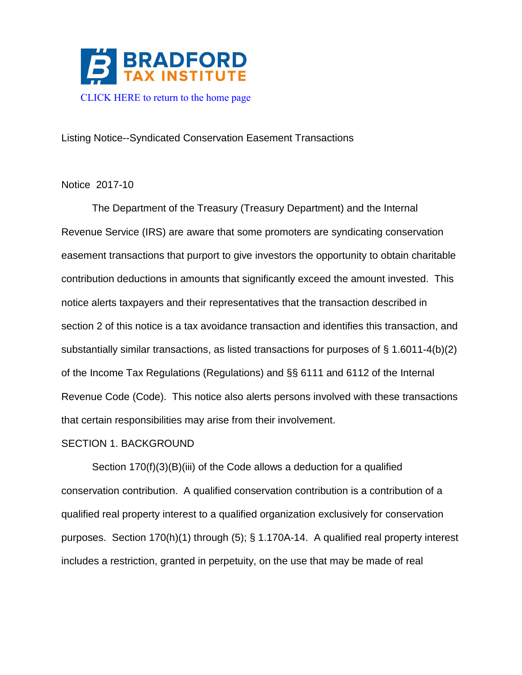

Listing Notice--Syndicated Conservation Easement Transactions

## Notice 2017-10

The Department of the Treasury (Treasury Department) and the Internal Revenue Service (IRS) are aware that some promoters are syndicating conservation easement transactions that purport to give investors the opportunity to obtain charitable contribution deductions in amounts that significantly exceed the amount invested. This notice alerts taxpayers and their representatives that the transaction described in section 2 of this notice is a tax avoidance transaction and identifies this transaction, and substantially similar transactions, as listed transactions for purposes of § 1.6011-4(b)(2) of the Income Tax Regulations (Regulations) and §§ 6111 and 6112 of the Internal Revenue Code (Code). This notice also alerts persons involved with these transactions that certain responsibilities may arise from their involvement.

## SECTION 1. BACKGROUND

Section 170(f)(3)(B)(iii) of the Code allows a deduction for a qualified conservation contribution. A qualified conservation contribution is a contribution of a qualified real property interest to a qualified organization exclusively for conservation purposes. Section 170(h)(1) through (5); § 1.170A-14. A qualified real property interest includes a restriction, granted in perpetuity, on the use that may be made of real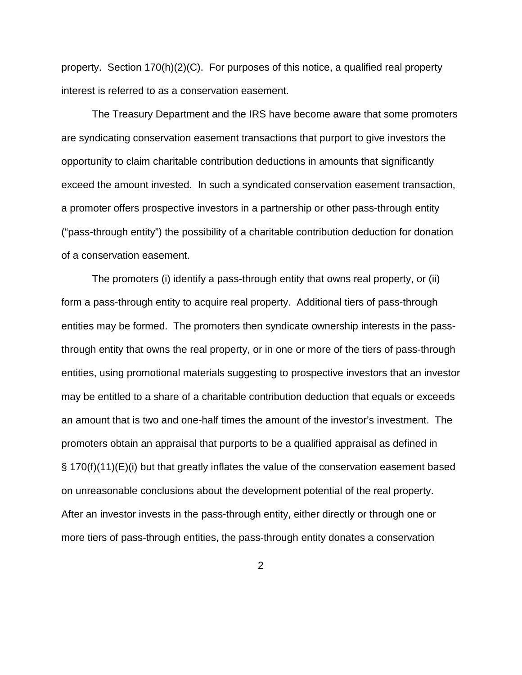property. Section 170(h)(2)(C). For purposes of this notice, a qualified real property interest is referred to as a conservation easement.

The Treasury Department and the IRS have become aware that some promoters are syndicating conservation easement transactions that purport to give investors the opportunity to claim charitable contribution deductions in amounts that significantly exceed the amount invested. In such a syndicated conservation easement transaction, a promoter offers prospective investors in a partnership or other pass-through entity ("pass-through entity") the possibility of a charitable contribution deduction for donation of a conservation easement.

The promoters (i) identify a pass-through entity that owns real property, or (ii) form a pass-through entity to acquire real property. Additional tiers of pass-through entities may be formed. The promoters then syndicate ownership interests in the passthrough entity that owns the real property, or in one or more of the tiers of pass-through entities, using promotional materials suggesting to prospective investors that an investor may be entitled to a share of a charitable contribution deduction that equals or exceeds an amount that is two and one-half times the amount of the investor's investment. The promoters obtain an appraisal that purports to be a qualified appraisal as defined in § 170(f)(11)(E)(i) but that greatly inflates the value of the conservation easement based on unreasonable conclusions about the development potential of the real property. After an investor invests in the pass-through entity, either directly or through one or more tiers of pass-through entities, the pass-through entity donates a conservation

2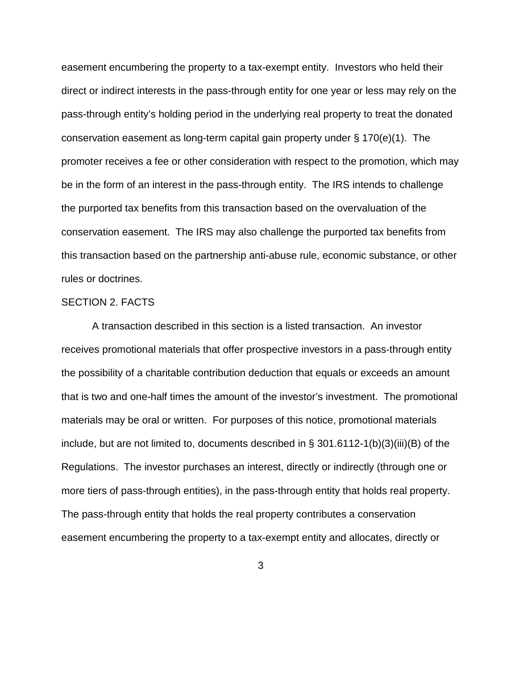easement encumbering the property to a tax-exempt entity. Investors who held their direct or indirect interests in the pass-through entity for one year or less may rely on the pass-through entity's holding period in the underlying real property to treat the donated conservation easement as long-term capital gain property under § 170(e)(1). The promoter receives a fee or other consideration with respect to the promotion, which may be in the form of an interest in the pass-through entity. The IRS intends to challenge the purported tax benefits from this transaction based on the overvaluation of the conservation easement. The IRS may also challenge the purported tax benefits from this transaction based on the partnership anti-abuse rule, economic substance, or other rules or doctrines.

## SECTION 2. FACTS

A transaction described in this section is a listed transaction. An investor receives promotional materials that offer prospective investors in a pass-through entity the possibility of a charitable contribution deduction that equals or exceeds an amount that is two and one-half times the amount of the investor's investment. The promotional materials may be oral or written. For purposes of this notice, promotional materials include, but are not limited to, documents described in § 301.6112-1(b)(3)(iii)(B) of the Regulations. The investor purchases an interest, directly or indirectly (through one or more tiers of pass-through entities), in the pass-through entity that holds real property. The pass-through entity that holds the real property contributes a conservation easement encumbering the property to a tax-exempt entity and allocates, directly or

3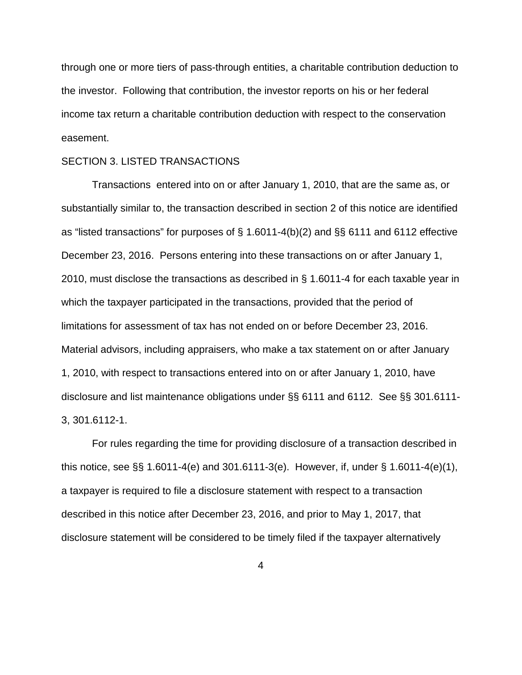through one or more tiers of pass-through entities, a charitable contribution deduction to the investor. Following that contribution, the investor reports on his or her federal income tax return a charitable contribution deduction with respect to the conservation easement.

## SECTION 3. LISTED TRANSACTIONS

Transactions entered into on or after January 1, 2010, that are the same as, or substantially similar to, the transaction described in section 2 of this notice are identified as "listed transactions" for purposes of § [1.6011-4\(b\)\(2\)](http://w3.lexis.com/research2/tax/irclinkhandler.do?_m=63962a9b9217a9e7d2eb0125577adc1d&wchp=dGLbVzt-zSkAb&_xfercite=&butInfo=26%20C.F.R.%201.6011-4&_butNum=32&_md5=406A7F99BC05B3823F5FAA67371D69D5) and §§ [6111](http://w3.lexis.com/research2/tax/irclinkhandler.do?_m=63962a9b9217a9e7d2eb0125577adc1d&wchp=dGLbVzt-zSkAb&_xfercite=&butInfo=26%20U.S.C.%206111&_butNum=33&_md5=E49C86C6135183CEE24C576A26D8E730) and [6112](http://w3.lexis.com/research2/tax/irclinkhandler.do?_m=63962a9b9217a9e7d2eb0125577adc1d&wchp=dGLbVzt-zSkAb&_xfercite=&butInfo=26%20U.S.C.%206112&_butNum=34&_md5=21FD910DCB9FC47AE67A7A538465A0DF) effective December 23, 2016. Persons entering into these transactions on or after January 1, 2010, must disclose the transactions as described in § 1.6011-4 for each taxable year in which the taxpayer participated in the transactions, provided that the period of limitations for assessment of tax has not ended on or before December 23, 2016. Material advisors, including appraisers, who make a tax statement on or after January 1, 2010, with respect to transactions entered into on or after January 1, 2010, have disclosure and list maintenance obligations under §§ 6111 and 6112. See §§ 301.6111- 3, 301.6112-1.

For rules regarding the time for providing disclosure of a transaction described in this notice, see §§ 1.6011-4(e) and 301.6111-3(e). However, if, under § 1.6011-4(e)(1), a taxpayer is required to file a disclosure statement with respect to a transaction described in this notice after December 23, 2016, and prior to May 1, 2017, that disclosure statement will be considered to be timely filed if the taxpayer alternatively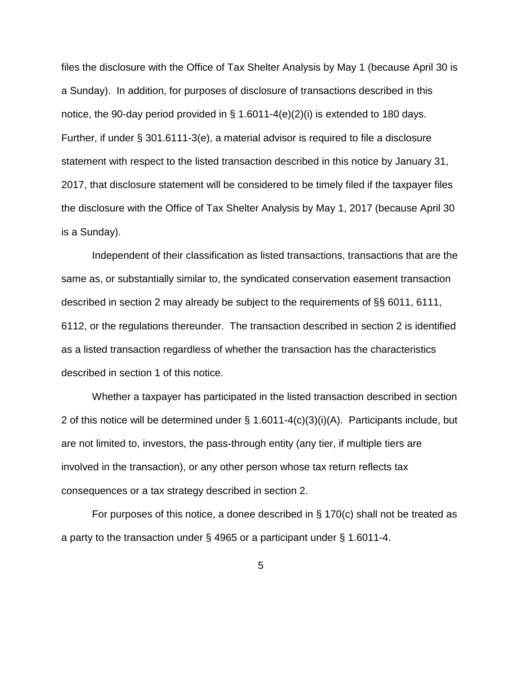files the disclosure with the Office of Tax Shelter Analysis by May 1 (because April 30 is a Sunday). In addition, for purposes of disclosure of transactions described in this notice, the 90-day period provided in § 1.6011-4(e)(2)(i) is extended to 180 days. Further, if under § 301.6111-3(e), a material advisor is required to file a disclosure statement with respect to the listed transaction described in this notice by January 31, 2017, that disclosure statement will be considered to be timely filed if the taxpayer files the disclosure with the Office of Tax Shelter Analysis by May 1, 2017 (because April 30 is a Sunday).

Independent of their classification as listed transactions, transactions that are the same as, or substantially similar to, the syndicated conservation easement transaction described in section 2 may already be subject to the requirements of §§ [6011,](http://w3.lexis.com/research2/tax/irclinkhandler.do?_m=63962a9b9217a9e7d2eb0125577adc1d&wchp=dGLbVzt-zSkAb&_xfercite=&butInfo=26%20U.S.C.%206011&_butNum=35&_md5=CB9966445FFEE8174B6E704D1159BF65) 6111, 6112, or the regulations thereunder. The transaction described in section 2 is identified as a listed transaction regardless of whether the transaction has the characteristics described in section 1 of this notice.

Whether a taxpayer has participated in the listed transaction described in section 2 of this notice will be determined under  $\S$  1.6011-4(c)(3)(i)(A). Participants include, but are not limited to, investors, the pass-through entity (any tier, if multiple tiers are involved in the transaction), or any other person whose tax return reflects tax consequences or a tax strategy described in section 2.

For purposes of this notice, a donee described in § 170(c) shall not be treated as a party to the transaction under § 4965 or a participant under § 1.6011-4.